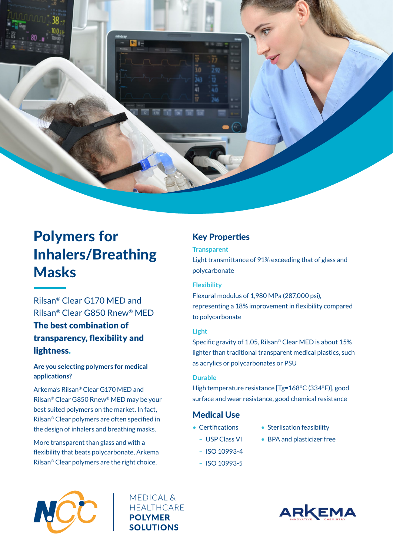

# Polymers for Inhalers/Breathing Masks

Rilsan® Clear G170 MED and Rilsan® Clear G850 Rnew® MED The best combination of transparency, flexibility and lightness.

## **Are you selecting polymers for medical applications?**

Arkema's Rilsan® Clear G170 MED and Rilsan® Clear G850 Rnew® MED may be your best suited polymers on the market. In fact, Rilsan® Clear polymers are often specified in the design of inhalers and breathing masks.

More transparent than glass and with a flexibility that beats polycarbonate, Arkema Rilsan® Clear polymers are the right choice.

# Key Properties

### **Transparent**

Light transmittance of 91% exceeding that of glass and polycarbonate

### **Flexibility**

Flexural modulus of 1,980 MPa (287,000 psi), representing a 18% improvement in flexibility compared to polycarbonate

## **Light**

Specific gravity of 1.05, Rilsan® Clear MED is about 15% lighter than traditional transparent medical plastics, such as acrylics or polycarbonates or PSU

### **Durable**

High temperature resistance [Tg=168°C (334°F)], good surface and wear resistance, good chemical resistance

## Medical Use

- Certifications
- Sterlisation feasibility
- USP Class VI
- BPA and plasticizer free
- ISO 10993-4
- ISO 10993-5



**MEDICAL & HEALTHCARE POLYMER SOLUTIONS**